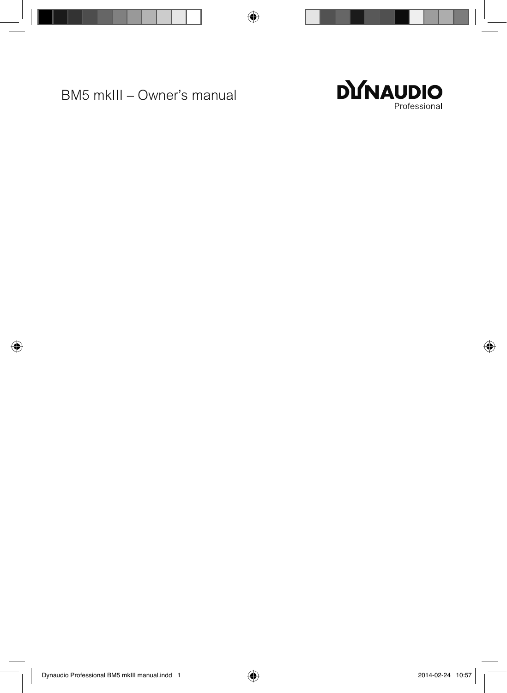BM5 mkIII – Owner's manual

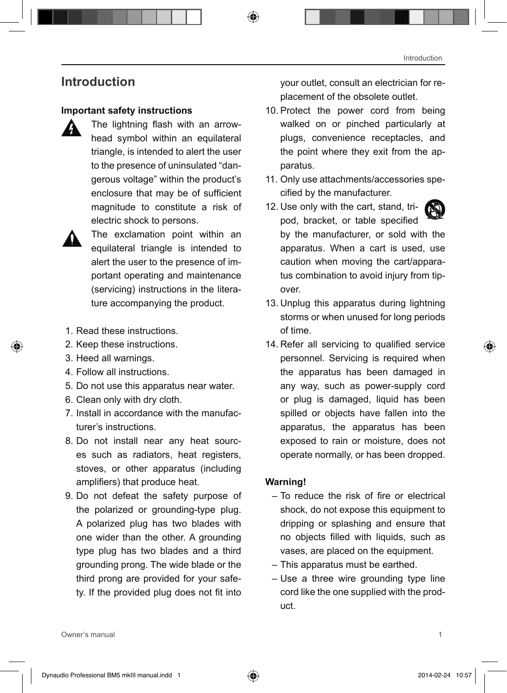## **Introduction**

#### **Important safety instructions**

 The lightning flash with an arrowhead symbol within an equilateral triangle, is intended to alert the user to the presence of uninsulated "dangerous voltage" within the product's enclosure that may be of sufficient magnitude to constitute a risk of electric shock to persons.



The exclamation point within an equilateral triangle is intended to alert the user to the presence of important operating and maintenance (servicing) instructions in the literature accompanying the product.

- 1. Read these instructions.
- 2. Keep these instructions.
- 3. Heed all warnings.
- 4. Follow all instructions.
- 5. Do not use this apparatus near water.
- 6. Clean only with dry cloth.
- 7. Install in accordance with the manufacturer's instructions.
- 8. Do not install near any heat sources such as radiators, heat registers, stoves, or other apparatus (including amplifiers) that produce heat.
- 9. Do not defeat the safety purpose of the polarized or grounding-type plug. A polarized plug has two blades with one wider than the other. A grounding type plug has two blades and a third grounding prong. The wide blade or the third prong are provided for your safety. If the provided plug does not fit into

your outlet, consult an electrician for replacement of the obsolete outlet.

- 10. Protect the power cord from being walked on or pinched particularly at plugs, convenience receptacles, and the point where they exit from the apparatus.
- 11. Only use attachments/accessories specified by the manufacturer.
- 12. Use only with the cart, stand, tripod, bracket, or table specified by the manufacturer, or sold with the apparatus. When a cart is used, use caution when moving the cart/apparatus combination to avoid injury from tipover.
- 13. Unplug this apparatus during lightning storms or when unused for long periods of time.
- 14. Refer all servicing to qualified service personnel. Servicing is required when the apparatus has been damaged in any way, such as power-supply cord or plug is damaged, liquid has been spilled or objects have fallen into the apparatus, the apparatus has been exposed to rain or moisture, does not operate normally, or has been dropped.

#### **Warning!**

- – To reduce the risk of fire or electrical shock, do not expose this equipment to dripping or splashing and ensure that no objects filled with liquids, such as vases, are placed on the equipment.
- This apparatus must be earthed.
- Use a three wire grounding type line cord like the one supplied with the product.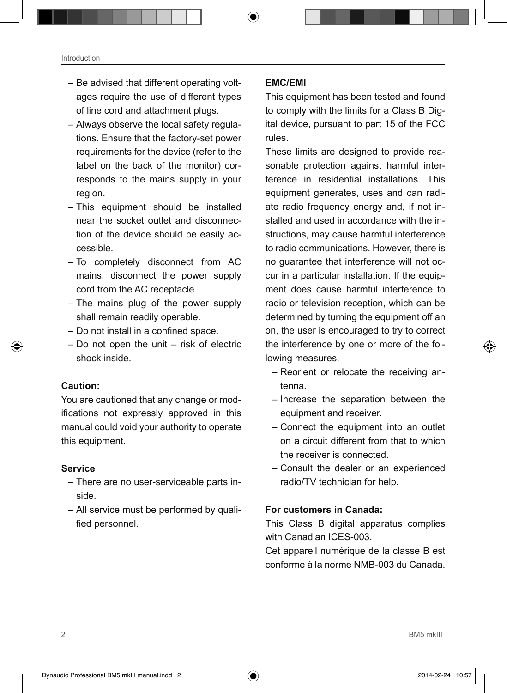- Be advised that different operating voltages require the use of different types of line cord and attachment plugs.
- Always observe the local safety regulations. Ensure that the factory-set power requirements for the device (refer to the label on the back of the monitor) corresponds to the mains supply in your region.
- This equipment should be installed near the socket outlet and disconnection of the device should be easily accessible.
- To completely disconnect from AC mains, disconnect the power supply cord from the AC receptacle.
- The mains plug of the power supply shall remain readily operable.
- Do not install in a confined space.
- Do not open the unit risk of electric shock inside.

#### **Caution:**

You are cautioned that any change or modifications not expressly approved in this manual could void your authority to operate this equipment.

#### **Service**

- There are no user-serviceable parts inside.
- All service must be performed by qualified personnel.

#### **EMC/EMI**

This equipment has been tested and found to comply with the limits for a Class B Digital device, pursuant to part 15 of the FCC rules.

These limits are designed to provide reasonable protection against harmful interference in residential installations. This equipment generates, uses and can radiate radio frequency energy and, if not installed and used in accordance with the instructions, may cause harmful interference to radio communications. However, there is no guarantee that interference will not occur in a particular installation. If the equipment does cause harmful interference to radio or television reception, which can be determined by turning the equipment off an on, the user is encouraged to try to correct the interference by one or more of the following measures.

- Reorient or relocate the receiving antenna.
- Increase the separation between the equipment and receiver.
- Connect the equipment into an outlet on a circuit different from that to which the receiver is connected.
- Consult the dealer or an experienced radio/TV technician for help.

#### **For customers in Canada:**

This Class B digital apparatus complies with Canadian ICES-003.

Cet appareil numérique de la classe B est conforme à la norme NMB-003 du Canada.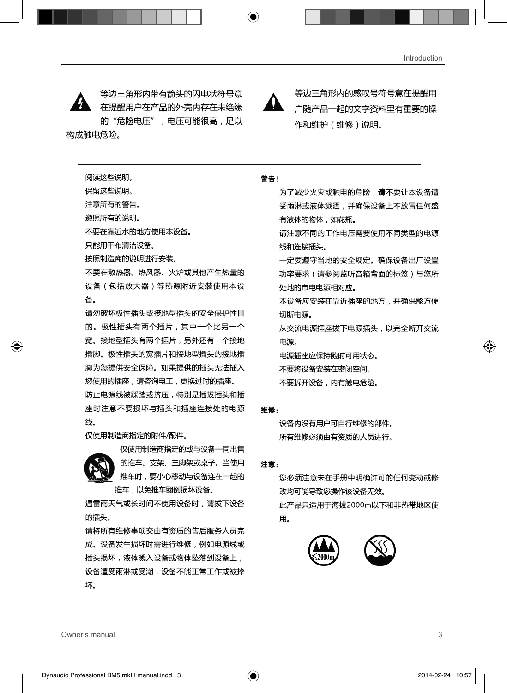等边三角形内带有箭头的闪电状符号意 在提醒用户在产品的外壳内存在未绝缘 的"危险电压", 电压可能很高, 足以 构成触由危险。

等边三角形内的感叹号符号意在提醒用 户随产品一起的文字资料里有重要的操 作和维护 (维修)说明。

阅读这些说明。

保留汶些说明。

注意所有的警告。

遵照所有的说明。

不要在靠近水的地方使用本设备。

只能用于布清洁设备。

按照制造商的说明进行安装。

不要在散热器、热风器、火炉或其他产生热量的 设备(包括放大器)等热源附近安装使用本设 备.

请勿破坏极性插头或接地型插头的安全保护性目 的。极性插头有两个插片,其中一个比另一个 宽。接地型插头有两个插片,另外还有一个接地 插脚。极性插头的宽插片和接地型插头的接地插 脚为您提供安全保障。如果提供的插头无法插入 您使用的插座,请咨询电工,更换过时的插座。 防止电源线被踩踏或挤压,特别是插拔插头和插 座时注意不要损坏与插头和插座连接处的电源 线.

仅使用制造商指定的附件/配件。



的推车、支架、三脚架或桌子。当使用 推车时, 要小心移动与设备连在一起的 推车,以免推车翻倒损坏设备。

遇雷雨天气或长时间不使用设备时,请拔下设备 的插头。

请将所有维修事项交由有资质的售后服务人员完 成。设备发生损坏时需进行维修,例如电源线或 插头损坏,液体溅入设备或物体坠落到设备上, 设备遭受雨淋或受潮,设备不能正常工作或被摔 坏。

警告

为了减少火灾或触电的危险,请不要让本设备遭 受雨淋或液体溅洒,并确保设备上不放置任何盛 有液体的物体,如花瓶。

请注意不同的工作电压需要使用不同类型的电源 线和连接插头。

一定要遵守当地的安全规定。确保设备出厂设置 功率要求 ( 请参阅监听音箱背面的标签 ) 与您所 处地的市电电源相对应。

本设备应安装在靠近插座的地方,并确保能方便 切断电源。

从交流电源插座拔下电源插头, 以完全断开交流 申源。

电源插座应保持随时可用状态。

不要将设备安装在密闭空间。

不要拆开设备,内有触电危险。

#### 维修:

设备内没有用户可自行维修的部件。 所有维修必须由有资质的人员进行。

#### 注意:

您必须注意未在手册中明确许可的任何变动或修 改均可能导致您操作该设备无效。 此产品只适用于海拔2000m以下和非热带地区使 用.

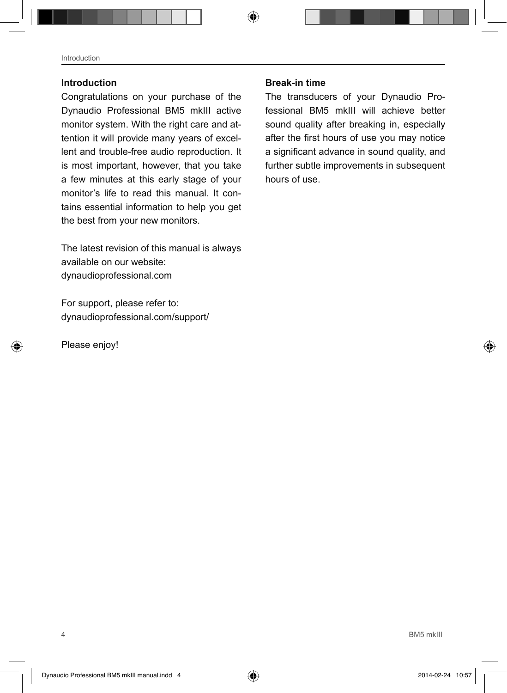#### **Introduction**

Congratulations on your purchase of the Dynaudio Professional BM5 mkIII active monitor system. With the right care and attention it will provide many years of excellent and trouble-free audio reproduction. It is most important, however, that you take a few minutes at this early stage of your monitor's life to read this manual. It contains essential information to help you get the best from your new monitors.

The latest revision of this manual is always available on our website: dynaudioprofessional.com

For support, please refer to: dynaudioprofessional.com/support/

Please enjoy!

#### **Break-in time**

The transducers of your Dynaudio Professional BM5 mkIII will achieve better sound quality after breaking in, especially after the first hours of use you may notice a significant advance in sound quality, and further subtle improvements in subsequent hours of use.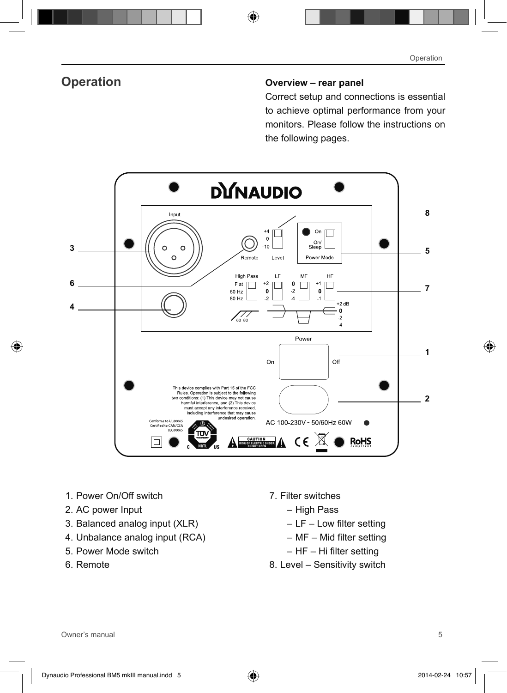## **Operation Overview – rear panel**

Correct setup and connections is essential to achieve optimal performance from your monitors. Please follow the instructions on the following pages.



- 1. Power On/Off switch
- 2. AC power Input
- 3. Balanced analog input (XLR)
- 4. Unbalance analog input (RCA)
- 5. Power Mode switch
- 6. Remote
- 7. Filter switches
	- High Pass
	- $-$  LF  $-$  Low filter setting
	- – MF Mid filter setting
	- $-$  HF  $-$  Hi filter setting
- 8. Level Sensitivity switch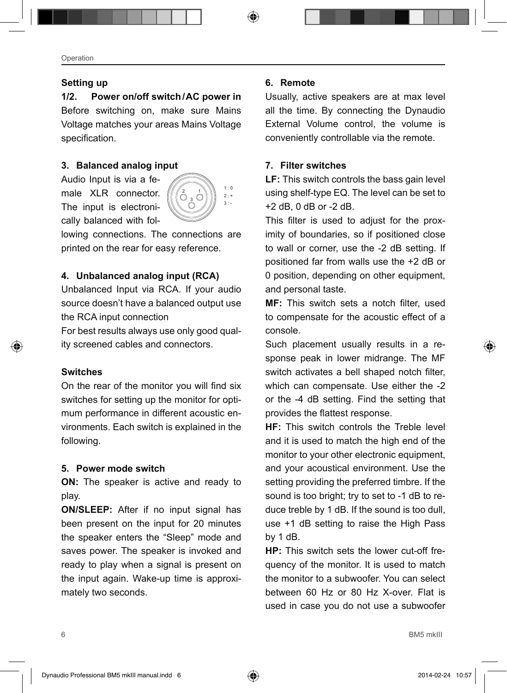#### **Setting up**

**1/2. Power on/off switch/AC power in** Before switching on, make sure Mains Voltage matches your areas Mains Voltage specification.

#### **3. Balanced analog input**

Audio Input is via a female XLR connector. The input is electronically balanced with fol-



lowing connections. The connections are printed on the rear for easy reference.

#### **4. Unbalanced analog input (RCA)**

Unbalanced Input via RCA. If your audio source doesn't have a balanced output use the RCA input connection

For best results always use only good quality screened cables and connectors.

#### **Switches**

On the rear of the monitor you will find six switches for setting up the monitor for optimum performance in different acoustic environments. Each switch is explained in the following.

#### **5. Power mode switch**

**ON:** The speaker is active and ready to play.

**ON/SLEEP:** After if no input signal has been present on the input for 20 minutes the speaker enters the "Sleep" mode and saves power. The speaker is invoked and ready to play when a signal is present on the input again. Wake-up time is approximately two seconds.

#### **6. Remote**

Usually, active speakers are at max level all the time. By connecting the Dynaudio External Volume control, the volume is conveniently controllable via the remote.

#### **7. Filter switches**

**LF:** This switch controls the bass gain level using shelf-type EQ. The level can be set to +2 dB, 0 dB or -2 dB.

This filter is used to adjust for the proximity of boundaries, so if positioned close to wall or corner, use the -2 dB setting. If positioned far from walls use the +2 dB or 0 position, depending on other equipment, and personal taste.

**MF:** This switch sets a notch filter, used to compensate for the acoustic effect of a console.

Such placement usually results in a response peak in lower midrange. The MF switch activates a bell shaped notch filter, which can compensate. Use either the -2 or the -4 dB setting. Find the setting that provides the flattest response.

**HF:** This switch controls the Treble level and it is used to match the high end of the monitor to your other electronic equipment, and your acoustical environment. Use the setting providing the preferred timbre. If the sound is too bright; try to set to -1 dB to reduce treble by 1 dB. If the sound is too dull, use +1 dB setting to raise the High Pass by 1 dB.

**HP:** This switch sets the lower cut-off frequency of the monitor. It is used to match the monitor to a subwoofer. You can select between 60 Hz or 80 Hz X-over. Flat is used in case you do not use a subwoofer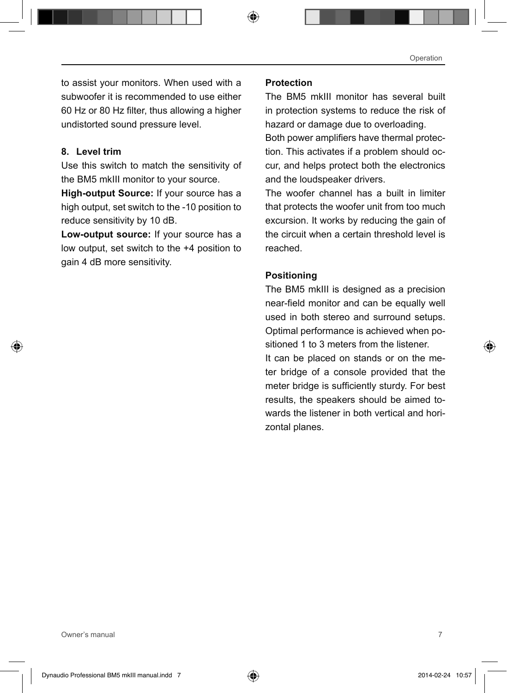to assist your monitors. When used with a subwoofer it is recommended to use either 60 Hz or 80 Hz filter, thus allowing a higher undistorted sound pressure level.

#### **8. Level trim**

Use this switch to match the sensitivity of the BM5 mkIII monitor to your source.

**High-output Source:** If your source has a high output, set switch to the -10 position to reduce sensitivity by 10 dB.

**Low-output source:** If your source has a low output, set switch to the +4 position to gain 4 dB more sensitivity.

#### **Protection**

The BM5 mkIII monitor has several built in protection systems to reduce the risk of hazard or damage due to overloading.

Both power amplifiers have thermal protection. This activates if a problem should occur, and helps protect both the electronics and the loudspeaker drivers.

The woofer channel has a built in limiter that protects the woofer unit from too much excursion. It works by reducing the gain of the circuit when a certain threshold level is reached.

#### **Positioning**

The BM5 mkIII is designed as a precision near-field monitor and can be equally well used in both stereo and surround setups. Optimal performance is achieved when positioned 1 to 3 meters from the listener. It can be placed on stands or on the me-

ter bridge of a console provided that the meter bridge is sufficiently sturdy. For best results, the speakers should be aimed towards the listener in both vertical and horizontal planes.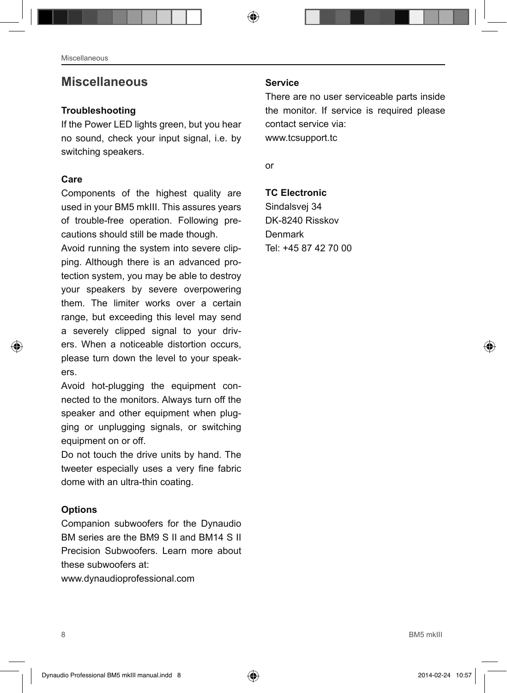## **Miscellaneous**

#### **Troubleshooting**

If the Power LED lights green, but you hear no sound, check your input signal, i.e. by switching speakers.

#### **Care**

Components of the highest quality are used in your BM5 mkIII. This assures years of trouble-free operation. Following precautions should still be made though.

Avoid running the system into severe clipping. Although there is an advanced protection system, you may be able to destroy your speakers by severe overpowering them. The limiter works over a certain range, but exceeding this level may send a severely clipped signal to your drivers. When a noticeable distortion occurs, please turn down the level to your speakers.

Avoid hot-plugging the equipment connected to the monitors. Always turn off the speaker and other equipment when plugging or unplugging signals, or switching equipment on or off.

Do not touch the drive units by hand. The tweeter especially uses a very fine fabric dome with an ultra-thin coating.

## **Options**

Companion subwoofers for the Dynaudio BM series are the BM9 S II and BM14 S II Precision Subwoofers. Learn more about these subwoofers at:

www.dynaudioprofessional.com

#### **Service**

There are no user serviceable parts inside the monitor. If service is required please contact service via: www.tcsupport.tc

or

## **TC Electronic**

Sindalsvej 34 DK-8240 Risskov Denmark Tel: +45 87 42 70 00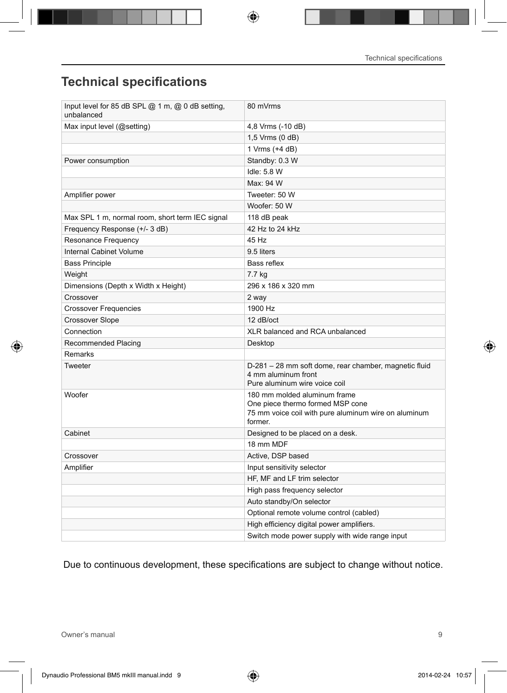# **Technical specifications**

| Input level for 85 dB SPL @ 1 m, @ 0 dB setting,<br>unbalanced | 80 mVrms                                                                                                                            |
|----------------------------------------------------------------|-------------------------------------------------------------------------------------------------------------------------------------|
| Max input level (@setting)                                     | 4,8 Vrms (-10 dB)                                                                                                                   |
|                                                                | 1,5 Vrms (0 dB)                                                                                                                     |
|                                                                | 1 Vrms (+4 dB)                                                                                                                      |
| Power consumption                                              | Standby: 0.3 W                                                                                                                      |
|                                                                | Idle: 5.8 W                                                                                                                         |
|                                                                | Max: 94 W                                                                                                                           |
| Amplifier power                                                | Tweeter: 50 W                                                                                                                       |
|                                                                | Woofer: 50 W                                                                                                                        |
| Max SPL 1 m, normal room, short term IEC signal                | 118 dB peak                                                                                                                         |
| Frequency Response (+/- 3 dB)                                  | 42 Hz to 24 kHz                                                                                                                     |
| Resonance Frequency                                            | 45 Hz                                                                                                                               |
| Internal Cabinet Volume                                        | 9.5 liters                                                                                                                          |
| <b>Bass Principle</b>                                          | Bass reflex                                                                                                                         |
| Weight                                                         | 7.7 kg                                                                                                                              |
| Dimensions (Depth x Width x Height)                            | 296 x 186 x 320 mm                                                                                                                  |
| Crossover                                                      | 2 way                                                                                                                               |
| <b>Crossover Frequencies</b>                                   | 1900 Hz                                                                                                                             |
| <b>Crossover Slope</b>                                         | 12 dB/oct                                                                                                                           |
| Connection                                                     | XLR balanced and RCA unbalanced                                                                                                     |
| Recommended Placing                                            | Desktop                                                                                                                             |
| Remarks                                                        |                                                                                                                                     |
| Tweeter                                                        | D-281 - 28 mm soft dome, rear chamber, magnetic fluid<br>4 mm aluminum front<br>Pure aluminum wire voice coil                       |
| Woofer                                                         | 180 mm molded aluminum frame<br>One piece thermo formed MSP cone<br>75 mm voice coil with pure aluminum wire on aluminum<br>former. |
| Cabinet                                                        | Designed to be placed on a desk.                                                                                                    |
|                                                                | 18 mm MDF                                                                                                                           |
| Crossover                                                      | Active, DSP based                                                                                                                   |
| Amplifier                                                      | Input sensitivity selector                                                                                                          |
|                                                                | HF, MF and LF trim selector                                                                                                         |
|                                                                | High pass frequency selector                                                                                                        |
|                                                                | Auto standby/On selector                                                                                                            |
|                                                                | Optional remote volume control (cabled)                                                                                             |
|                                                                | High efficiency digital power amplifiers.                                                                                           |
|                                                                | Switch mode power supply with wide range input                                                                                      |

Due to continuous development, these specifications are subject to change without notice.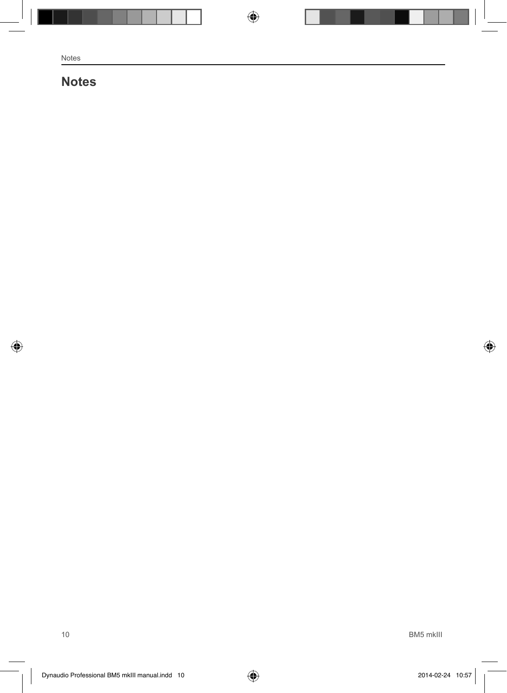# **Notes**